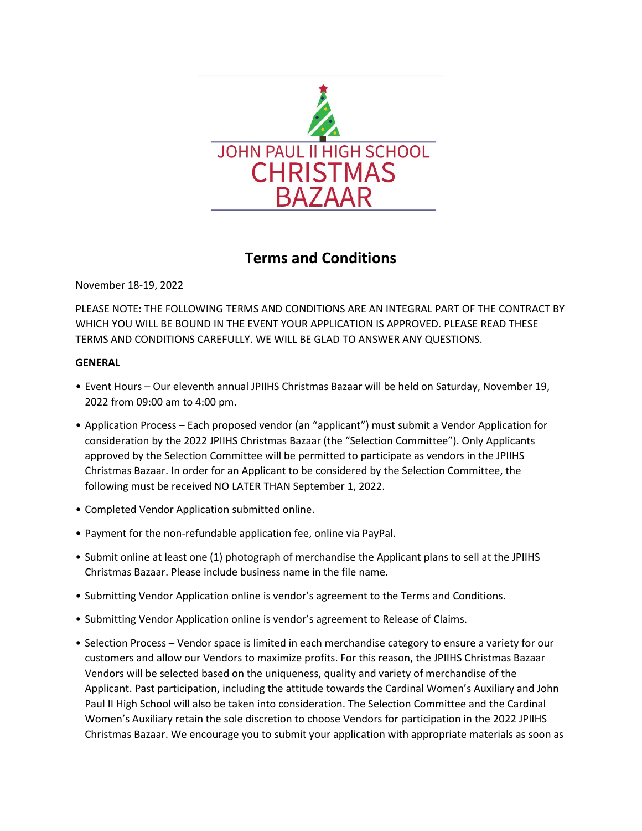

# **Terms and Conditions**

November 18-19, 2022

PLEASE NOTE: THE FOLLOWING TERMS AND CONDITIONS ARE AN INTEGRAL PART OF THE CONTRACT BY WHICH YOU WILL BE BOUND IN THE EVENT YOUR APPLICATION IS APPROVED. PLEASE READ THESE TERMS AND CONDITIONS CAREFULLY. WE WILL BE GLAD TO ANSWER ANY QUESTIONS.

## **GENERAL**

- Event Hours Our eleventh annual JPIIHS Christmas Bazaar will be held on Saturday, November 19, 2022 from 09:00 am to 4:00 pm.
- Application Process Each proposed vendor (an "applicant") must submit a Vendor Application for consideration by the 2022 JPIIHS Christmas Bazaar (the "Selection Committee"). Only Applicants approved by the Selection Committee will be permitted to participate as vendors in the JPIIHS Christmas Bazaar. In order for an Applicant to be considered by the Selection Committee, the following must be received NO LATER THAN September 1, 2022.
- Completed Vendor Application submitted online.
- Payment for the non-refundable application fee, online via PayPal.
- Submit online at least one (1) photograph of merchandise the Applicant plans to sell at the JPIIHS Christmas Bazaar. Please include business name in the file name.
- Submitting Vendor Application online is vendor's agreement to the Terms and Conditions.
- Submitting Vendor Application online is vendor's agreement to Release of Claims.
- Selection Process Vendor space is limited in each merchandise category to ensure a variety for our customers and allow our Vendors to maximize profits. For this reason, the JPIIHS Christmas Bazaar Vendors will be selected based on the uniqueness, quality and variety of merchandise of the Applicant. Past participation, including the attitude towards the Cardinal Women's Auxiliary and John Paul II High School will also be taken into consideration. The Selection Committee and the Cardinal Women's Auxiliary retain the sole discretion to choose Vendors for participation in the 2022 JPIIHS Christmas Bazaar. We encourage you to submit your application with appropriate materials as soon as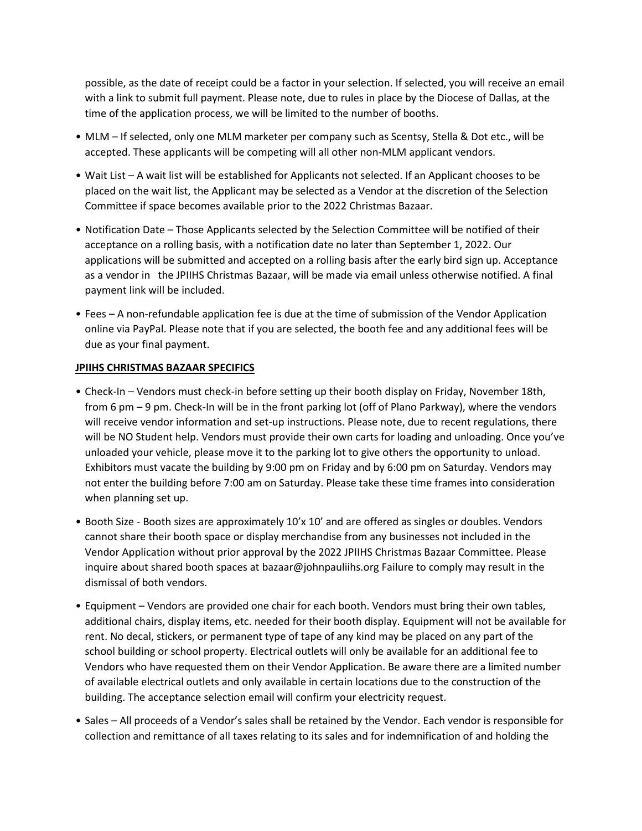possible, as the date of receipt could be a factor in your selection. If selected, you will receive an email with a link to submit full payment. Please note, due to rules in place by the Diocese of Dallas, at the time of the application process, we will be limited to the number of booths.

- MLM If selected, only one MLM marketer per company such as Scentsy, Stella & Dot etc., will be accepted. These applicants will be competing will all other non-MLM applicant vendors.
- Wait List A wait list will be established for Applicants not selected. If an Applicant chooses to be placed on the wait list, the Applicant may be selected as a Vendor at the discretion of the Selection Committee if space becomes available prior to the 2022 Christmas Bazaar.
- Notification Date Those Applicants selected by the Selection Committee will be notified of their acceptance on a rolling basis, with a notification date no later than September 1, 2022. Our applications will be submitted and accepted on a rolling basis after the early bird sign up. Acceptance as a vendor in the JPIIHS Christmas Bazaar, will be made via email unless otherwise notified. A final payment link will be included.
- Fees A non-refundable application fee is due at the time of submission of the Vendor Application online via PayPal. Please note that if you are selected, the booth fee and any additional fees will be due as your final payment.

#### **JPIIHS CHRISTMAS BAZAAR SPECIFICS**

- Check-In Vendors must check-in before setting up their booth display on Friday, November 18th, from 6 pm – 9 pm. Check-In will be in the front parking lot (off of Plano Parkway), where the vendors will receive vendor information and set-up instructions. Please note, due to recent regulations, there will be NO Student help. Vendors must provide their own carts for loading and unloading. Once you've unloaded your vehicle, please move it to the parking lot to give others the opportunity to unload. Exhibitors must vacate the building by 9:00 pm on Friday and by 6:00 pm on Saturday. Vendors may not enter the building before 7:00 am on Saturday. Please take these time frames into consideration when planning set up.
- Booth Size Booth sizes are approximately 10'x 10' and are offered as singles or doubles. Vendors cannot share their booth space or display merchandise from any businesses not included in the Vendor Application without prior approval by the 2022 JPIIHS Christmas Bazaar Committee. Please inquire about shared booth spaces at bazaar@johnpauliihs.org Failure to comply may result in the dismissal of both vendors.
- Equipment Vendors are provided one chair for each booth. Vendors must bring their own tables, additional chairs, display items, etc. needed for their booth display. Equipment will not be available for rent. No decal, stickers, or permanent type of tape of any kind may be placed on any part of the school building or school property. Electrical outlets will only be available for an additional fee to Vendors who have requested them on their Vendor Application. Be aware there are a limited number of available electrical outlets and only available in certain locations due to the construction of the building. The acceptance selection email will confirm your electricity request.
- Sales All proceeds of a Vendor's sales shall be retained by the Vendor. Each vendor is responsible for collection and remittance of all taxes relating to its sales and for indemnification of and holding the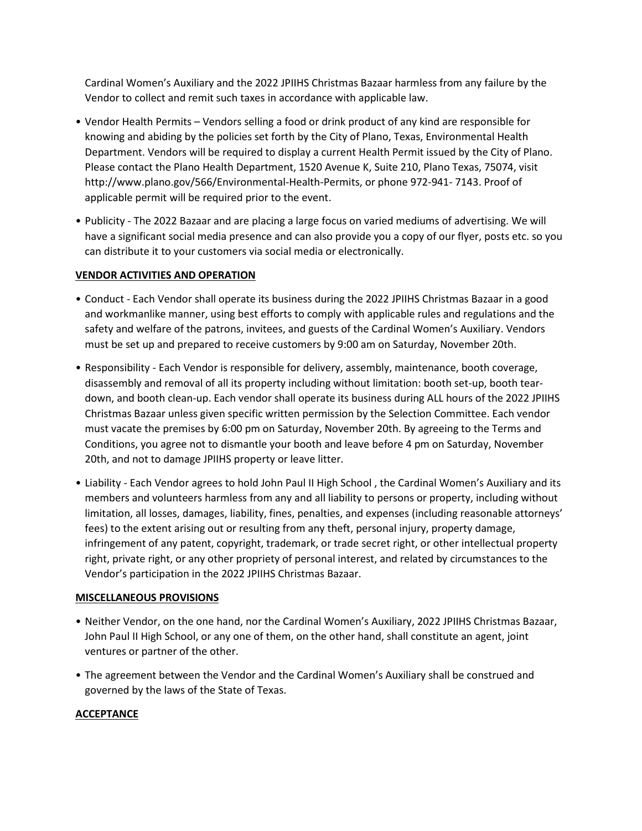Cardinal Women's Auxiliary and the 2022 JPIIHS Christmas Bazaar harmless from any failure by the Vendor to collect and remit such taxes in accordance with applicable law.

- Vendor Health Permits Vendors selling a food or drink product of any kind are responsible for knowing and abiding by the policies set forth by the City of Plano, Texas, Environmental Health Department. Vendors will be required to display a current Health Permit issued by the City of Plano. Please contact the Plano Health Department, 1520 Avenue K, Suite 210, Plano Texas, 75074, visit http://www.plano.gov/566/Environmental-Health-Permits, or phone 972-941- 7143. Proof of applicable permit will be required prior to the event.
- Publicity The 2022 Bazaar and are placing a large focus on varied mediums of advertising. We will have a significant social media presence and can also provide you a copy of our flyer, posts etc. so you can distribute it to your customers via social media or electronically.

## **VENDOR ACTIVITIES AND OPERATION**

- Conduct Each Vendor shall operate its business during the 2022 JPIIHS Christmas Bazaar in a good and workmanlike manner, using best efforts to comply with applicable rules and regulations and the safety and welfare of the patrons, invitees, and guests of the Cardinal Women's Auxiliary. Vendors must be set up and prepared to receive customers by 9:00 am on Saturday, November 20th.
- Responsibility Each Vendor is responsible for delivery, assembly, maintenance, booth coverage, disassembly and removal of all its property including without limitation: booth set-up, booth teardown, and booth clean-up. Each vendor shall operate its business during ALL hours of the 2022 JPIIHS Christmas Bazaar unless given specific written permission by the Selection Committee. Each vendor must vacate the premises by 6:00 pm on Saturday, November 20th. By agreeing to the Terms and Conditions, you agree not to dismantle your booth and leave before 4 pm on Saturday, November 20th, and not to damage JPIIHS property or leave litter.
- Liability Each Vendor agrees to hold John Paul II High School , the Cardinal Women's Auxiliary and its members and volunteers harmless from any and all liability to persons or property, including without limitation, all losses, damages, liability, fines, penalties, and expenses (including reasonable attorneys' fees) to the extent arising out or resulting from any theft, personal injury, property damage, infringement of any patent, copyright, trademark, or trade secret right, or other intellectual property right, private right, or any other propriety of personal interest, and related by circumstances to the Vendor's participation in the 2022 JPIIHS Christmas Bazaar.

#### **MISCELLANEOUS PROVISIONS**

- Neither Vendor, on the one hand, nor the Cardinal Women's Auxiliary, 2022 JPIIHS Christmas Bazaar, John Paul II High School, or any one of them, on the other hand, shall constitute an agent, joint ventures or partner of the other.
- The agreement between the Vendor and the Cardinal Women's Auxiliary shall be construed and governed by the laws of the State of Texas.

## **ACCEPTANCE**